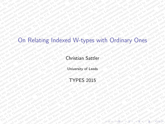# This material is based on research sponsored by the Air Force Research Laboratory, under agreement number FA8655-13-1-3038. The U.S. Government is authorized to reproduce and distribute reprints for Governmental purposes notwithstanding any copyright notation thereon. The views and conclusions contained herein are those of the authors and should not be interpreted as necessarily representing the official policies or endorsements, either expressed or implied, of the Air Force Research Laboratory or the U.S. Government. This material is based on research sponsored by the Air Force Research Laboratory, under agreement number FA8655-13-1-3038. The U.S. Government is authorized to reproduce and distribute reprints for Governmental purposes notwithstanding any copyright notation thereon. The views and conclusions contained herein are those of the authors and should not be interpreted as necessarily representing the official policies or endorsements, either expressed or implied, of the Air Force Research Laboratory or the U.S. Government. On Relating Indexed W-types with Ordinary Ones<br>Christian Sattler<br>TYPES 2015 On Relating Indexed W-types with Ordinary Ones<br>Christian Sattler<br>TYPES 2015 On Relating Indexed W-types with Ordinary Ones<br>Christian Sattler<br>TYPES 2015 On Relating Indexed W-types with Ordinary Ones<br>Christian Sattler<br>TYPES 2015 On Relating Indexed W-types with Ordinary Ones<br>Christian Sattler<br>TYPES 2015 On Relating Indexed W-types with Ordinary Ones<br>Christian Sattler<br>TYPES 2015 On Relating Indexed W-types with Ordinary Ones<br>Christian Sattler<br>TYPES 2015 On Relating Indexed W-types with Ordinary Ones<br>Christian Sattler<br>TYPES 2015 On Relating Indexed W-types with Ordinary Ones<br>Christian Sattler<br>TYPES 2015 On Relating Indexed W-types with Ordinary Ones<br>
Christian Sattler<br>
TYPES 2015<br>
TYPES 2015 On Relating Indexed W-types with Ordinary Ones<br>Christian Sattler<br>TYPES 2015 On Relating Indexed W-types with Ordinary Ones<br>Christian Sattler<br>TYPES 2015 On Relating Indexed W-types with Ordinary Ones<br>Christian Sattler<br>TYPES 2015 On Relating Indexed W-types with Ordinary Ones<br>Christian Sattler<br>TYPES 2015 On Relating Indexed W-types with Ordinary Ones<br>Christian Sattler<br>TYPES 2015 On Relating Indexed W-types with Ordinary Ones<br>Christian Sattler<br>TYPES 2015 On Relating Indexed W-types with Ordinary Ones<br>Christian Sattler<br>TYPES 2015 On Relating Indexed W-types with Ordinary Ones<br>Christian Sattler<br>TYPES 2015 On Relating Indexed W-types with Ordinary Ones<br>Christian Sattler<br>TYPES 2015 On Relating Indexed W-types with Ordinary Ones<br>Christian Sattler<br>TYPES 2015 On Relating Indexed W-types with Ordinary Ones<br>Christian Sattler<br>TYPES 2015 On Relating Indexed W-types with Ordinary Ones<br>Christian Sattler<br>TYPES 2015 On Relating Indexed W-types with Ordinary Ones<br>Christian Sattler<br>TYPES 2015 On Relating Indexed W-types with Ordinary Ones<br>Christian Sattler<br>TYPES 2015 On Relating Indexed W-types with Ordinary Ones<br>Christian Sattler<br>TYPES 2015 On Relating Indexed W-types with Ordinary Ones<br>Christian Sattler<br>TYPES 2015 On Relating Indexed W-types with Ordinary Ones<br>Christian Sattler<br>TYPES 2015 On Relating Indexed W-types with Ordinary Ones<br>Christian Sattler<br>TYPES 2015 On Relating Indexed W-types with Ordinary Ones<br>Christian Sattler<br>TYPES 2015 On Relating Indexed W-types with Ordinary Ones<br>Christian Sattler<br>TYPES 2015 On Relating Indexed W-types with Ordinary Ones<br>Christian Sattler<br>TYPES 2015 On Relating Indexed W-types with Ordinary Ones<br>Christian Sattler<br>TYPES 2015 On Relating Indexed W-types with Ordinary Ones<br>Christian Sattler<br>TYPES 2015 On Relating Indexed W-types with Ordinary Ones<br>Christian Sattler<br>TYPES 2015 On Relating Indexed W-types with Ordinary Ones<br>Christian Sattler<br>TYPES 2015 On Relating Indexed W-types with Ordinary Ones<br>Christian Sattler<br>TYPES 2015 On Relating Indexed W-types with Ordinary Ones<br>Christian Sattler<br>TYPES 2015 On Relating Indexed W-types with Ordinary Ones<br>Christian Sattler<br>TYPES 2015 On Relating Indexed W-types with Ordinary Ones<br>Christian Sattler<br>TYPES 2015 On Relating Indexed W-types with Ordinary Ones<br>Christian Sattler<br>TYPES 2015 On Relating Indexed W-types with Ordinary Ones<br>Christian Sattler<br>TYPES 2015 On Relating Indexed W-types with Ordinary Ones<br>Christian Sattler<br>TYPES 2015 On Relating Indexed W-types with Ordinary Ones<br>Christian Sattler<br>TYPES 2015 On Relating Indexed W-types with Ordinary Ones<br>Christian Sattler<br>TYPES 2015 On Relating Indexed W-types with Ordinary Ones<br>Christian Sattler<br>TYPES 2015 On Relating Indexed W-types with Ordinary Ones<br>Christian Sattler<br>TYPES 2015 On Relating Indexed W-types with Ordinary Ones<br>Christian Sattler<br>TYPES 2015 On Relating Indexed W-types with Ordinary Ones<br>Christian Sattler<br>TYPES 2015 On Relating Indexed W-types with Ordinary Ones<br>Christian Sattler<br>TYPES 2015 On Relating Indexed W-types with Ordinary Ones

#### <span id="page-0-0"></span>Christian Sattler

University of Leeds

#### TYPES 2015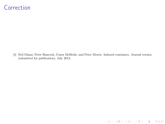#### <span id="page-1-0"></span>Correction and categories equalizers are setting, coreflexive equalizers are set apart by being cosifted limits as used above, making clear this is the correct notion. This correct notion. This confusion might have led to the correct notion. This confusion might have led to the correct notion. This confusion might have led to the co

[4] Neil Ghani, Peter Hancock, Conor McBride, and Peter Morris. Indexed containers. Journal version (submitted for publication), July 2013.

**KORK 4 DIA 4 DIA 4 DIA 4 DIA 4 DIA 4 DIA 4 DIA 4 DIA 4 DIA 4 DIA 4 DIA 4 DIA 4 DIA 4 DIA 4 DIA 4 DIA 4 DIA 4 D**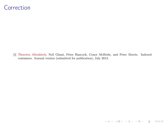#### Correction and categories equalizers are setting, coreflexive equalizers are set apart by being cosifted limits as used above, making clear this is the correct notion. This correct notion. This confusion might have led to the correct notion. This confusion might have led to the correct notion. This confusion might have led to the co

[4] Thorsten Altenkirch, Neil Ghani, Peter Hancock, Conor McBride, and Peter Morris. Indexed containers. Journal version (submitted for publication), July 2013.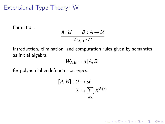# Extensional Type Theory: W

Formation:

$$
\frac{A:\mathcal{U}\qquad B:A\to\mathcal{U}}{W_{A,B}:\mathcal{U}}
$$

Introduction, elimination, and computation rules given by semantics as initial algebra

$$
W_{A,B} = \mu[\![A,B]\!]
$$

for polynomial endofunctor on types:

$$
[\![A, B]\!] : \mathcal{U} \to \mathcal{U}
$$

$$
X \mapsto \sum_{a:A} X^{B(a)}
$$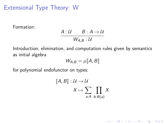Extensional Type Theory: W

Formation:

$$
\frac{A:\mathcal{U}\qquad B:A\to\mathcal{U}}{W_{A,B}:\mathcal{U}}
$$

Introduction, elimination, and computation rules given by semantics as initial algebra

$$
W_{A,B} = \mu[\![A,B]\!]
$$

for polynomial endofunctor on types:

$$
[\![A, B]\!] : \mathcal{U} \to \mathcal{U}
$$

$$
X \mapsto \sum_{a:A} \prod_{b:B(a)} X
$$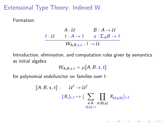Formation:

A : U  
\n
$$
B : A \rightarrow U
$$
\n
$$
I : U
$$
\n
$$
t : A \rightarrow I
$$
\n
$$
S : \Sigma_A B \rightarrow I
$$
\n
$$
W_{A,B,s,t} : I \rightarrow U
$$

Introduction, elimination, and computation rules given by semantics as initial algebra

$$
W_{A,B,s,t} = \mu[\![A,B,s,t]\!]
$$

for polynomial endofunctor on families over I:

$$
[\![A, B, s, t]\!] : \qquad \mathcal{U}^1 \to \mathcal{U}^1
$$

$$
(X_i)_{i:1} \mapsto \big(\sum_{\substack{a:A, b:B(a) \\ t(a)=i}} \prod_{b:B(a)} X_{s(a,b)}\big)_{i:1}
$$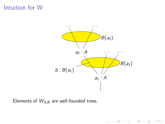# Intuition for W



Elements of  $W_{A,B}$  are well-founded trees.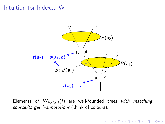#### Intuition for Indexed W



Elements of  $W_{A,B,s,t}(i)$  are well-founded trees with matching source/target I-annotations (think of colours).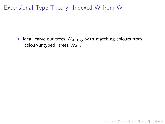I Idea: carve out trees  $W_{A,B,s,t}$  with matching colours from "colour-untyped" trees  $W_{A,B}$ .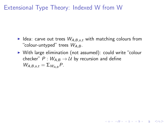- I Idea: carve out trees  $W_{A,B,s,t}$  with matching colours from "colour-untyped" trees  $W_{A,B}$ .
- ▶ With large elimination (not assumed): could write "colour checker"  $P: W_{A,B} \to U$  by recursion and define  $W_{A,B,s,t} = \sum_{W_{A,B}} P$ .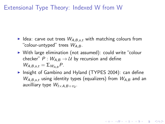- I Idea: carve out trees  $W_{A,B,s,t}$  with matching colours from "colour-untyped" trees  $W_{AB}$ .
- $\triangleright$  With large elimination (not assumed): could write "colour checker"  $P: W_{A,B} \to U$  by recursion and define  $W_{A,B,s,t} = \sum_{W_{A,B}} P$ .
- ▶ Insight of Gambino and Hyland (TYPES 2004): can define  $W_{A,B,s,t}$  using identity types (equalizers) from  $W_{A,B}$  and an auxilliary type  $\mathcal{W}_{I \times A, B \circ \pi_2}$ .

**KORKAR KERKER EL VOLO**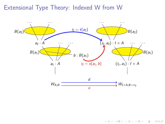

メロメ メ都 メメ きょうくぼん 重  $2990$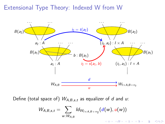

Define (total space of)  $W_{A,B,s,t}$  as equalizer of d and u:

$$
W_{A,B,s,t} = \sum_{w: W_{A,B}} \mathit{Id}_{W_{I \times A,B} \circ \pi_2}(d(w),u(w))
$$

 $\mathbf{A} \equiv \mathbf{A} + \mathbf{A} + \mathbf{A} + \mathbf{A} + \mathbf{A} + \mathbf{A} + \mathbf{A} + \mathbf{A} + \mathbf{A} + \mathbf{A} + \mathbf{A} + \mathbf{A} + \mathbf{A} + \mathbf{A} + \mathbf{A} + \mathbf{A} + \mathbf{A} + \mathbf{A} + \mathbf{A} + \mathbf{A} + \mathbf{A} + \mathbf{A} + \mathbf{A} + \mathbf{A} + \mathbf{A} + \mathbf{A} + \mathbf{A} + \mathbf{A} + \mathbf{A} + \mathbf{A} + \math$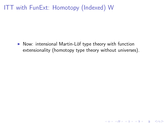$\triangleright$  Now: intensional Martin-Löf type theory with function extensionality (homotopy type theory without universes).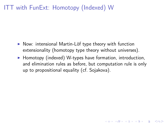- $\triangleright$  Now: intensional Martin-Löf type theory with function extensionality (homotopy type theory without universes).
- $\blacktriangleright$  Homotopy (indexed) W-types have formation, introduction, and elimination rules as before, but computation rule is only up to propositional equality (cf. Sojakova).

**KORKAR KERKER EL VOLO**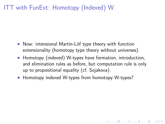- $\triangleright$  Now: intensional Martin-Löf type theory with function extensionality (homotopy type theory without universes).
- $\blacktriangleright$  Homotopy (indexed) W-types have formation, introduction, and elimination rules as before, but computation rule is only up to propositional equality (cf. Sojakova).

**KORKAR KERKER EL VOLO** 

 $\blacktriangleright$  Homotopy indexed W-types from homotopy W-types?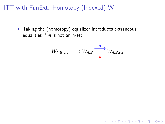$\blacktriangleright$  Taking the (homotopy) equalizer introduces extraneous equalities if A is not an h-set.

$$
W_{A,B,s,t}\longrightarrow W_{A,B}\xrightarrow[u]{}W_{A,B,s,t}
$$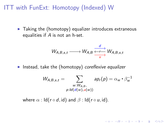$\blacktriangleright$  Taking the (homotopy) equalizer introduces extraneous equalities if A is not an h-set.

$$
W_{A,B,s,t} \longrightarrow W_{A,B} \xrightarrow[u \to W_{A,B,s,t}]{} W_{A,B,s,t}
$$

Instead, take the (homotopy) coreflexive equalizer

$$
W_{A,B,s,t} = \sum_{\substack{w: W_{A,B}, \\ p: Id(d(w),u(w))}} ap_r(p) = \alpha_w \cdot \beta_w^{-1}
$$

where  $\alpha$  : Id( $r \circ d$ , id) and  $\beta$  : Id( $r \circ u$ , id).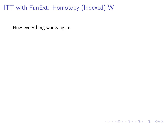Now everything works again.

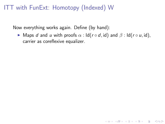Now everything works again. Define (by hand):

 $\triangleright$  Maps *d* and *u* with proofs  $\alpha$  : ld( $r \circ d$ , id) and  $\beta$  : ld( $r \circ u$ , id), carrier as coreflexive equalizer.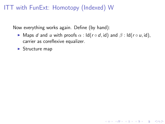Now everything works again. Define (by hand):

 $\triangleright$  Maps *d* and *u* with proofs  $\alpha$  : ld( $r \circ d$ , id) and  $\beta$  : ld( $r \circ u$ , id), carrier as coreflexive equalizer.

**KORKA REPARATION ADD** 

 $\blacktriangleright$  Structure map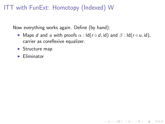Now everything works again. Define (by hand):

 $\triangleright$  Maps *d* and *u* with proofs  $\alpha$  : ld( $r \circ d$ , id) and  $\beta$  : ld( $r \circ u$ , id), carrier as coreflexive equalizer.

- $\blacktriangleright$  Structure map
- $\blacktriangleright$  Eliminator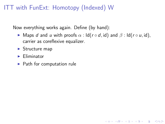Now everything works again. Define (by hand):

 $\triangleright$  Maps *d* and *u* with proofs  $\alpha$  : ld( $r \circ d$ , id) and  $\beta$  : ld( $r \circ u$ , id), carrier as coreflexive equalizer.

- $\blacktriangleright$  Structure map
- $\blacktriangleright$  Eliminator
- $\blacktriangleright$  Path for computation rule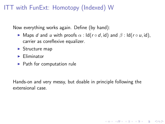Now everything works again. Define (by hand):

- **I** Maps d and u with proofs  $\alpha$  : Id( $r \circ d$ , id) and  $\beta$  : Id( $r \circ u$ , id), carrier as coreflexive equalizer.
- $\blacktriangleright$  Structure map
- $\blacktriangleright$  Eliminator
- $\blacktriangleright$  Path for computation rule

Hands-on and very messy, but doable in principle following the extensional case.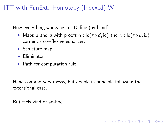Now everything works again. Define (by hand):

- I Maps d and u with proofs  $\alpha$  : Id( $r \circ d$ , id) and  $\beta$  : Id( $r \circ u$ , id), carrier as coreflexive equalizer.
- $\blacktriangleright$  Structure map
- $\blacktriangleright$  Eliminator
- $\blacktriangleright$  Path for computation rule

Hands-on and very messy, but doable in principle following the extensional case.

**KORKA REPARATION ADD** 

But feels kind of ad-hoc.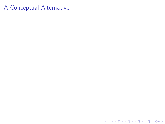# A Conceptual Alternative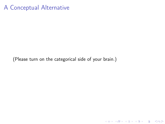# A Conceptual Alternative

(Please turn on the categorical side of your brain.)

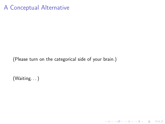# A Conceptual Alternative

(Please turn on the categorical side of your brain.)

K ロ ▶ K 레 ▶ K 레 ▶ K 레 ≯ K 게 회 게 이 및 사 이 의 O

(Waiting. . . )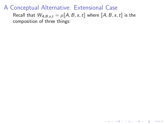Recall that  $W_{A,B,s,t} = \mu \llbracket A, B, s, t \rrbracket$  where  $\llbracket A, B, s, t \rrbracket$  is the composition of three things: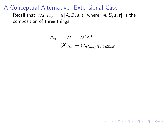Recall that  $W_{A,B,s,t} = \mu \llbracket A, B, s, t \rrbracket$  where  $\llbracket A, B, s, t \rrbracket$  is the composition of three things:

$$
\Delta_{s}: \quad \mathcal{U}^{1} \to \mathcal{U}^{\Sigma_{A}B} \\ (X_{i})_{i:1} \mapsto (X_{s(a,b)})_{(a,b): \Sigma_{A}B}
$$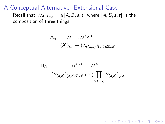Recall that  $W_{A,B,s,t} = \mu \llbracket A, B, s, t \rrbracket$  where  $\llbracket A, B, s, t \rrbracket$  is the composition of three things:

$$
\Delta_{s}: \quad \mathcal{U}^{1} \to \mathcal{U}^{\Sigma_{A}B} \\ (X_{i})_{i:1} \mapsto (X_{s(a,b)})_{(a,b): \Sigma_{A}B}
$$

$$
\begin{aligned} \Pi_B: \qquad & \mathcal{U}^{\Sigma_A B} \to \mathcal{U}^A \\ & \quad (Y_{(a,b)})_{(a,b):\Sigma_A B} \mapsto (\prod_{b:B(a)} Y_{(a,b)})_{a:A} \end{aligned}
$$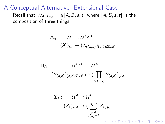Recall that  $W_{A,B,s,t} = \mu \llbracket A, B, s, t \rrbracket$  where  $\llbracket A, B, s, t \rrbracket$  is the composition of three things:

$$
\Delta_{s}: \quad \mathcal{U}^{1} \to \mathcal{U}^{\Sigma_{A}B} \\ (X_{i})_{i:1} \mapsto (X_{s(a,b)})_{(a,b): \Sigma_{A}B}
$$

$$
\begin{aligned} \Pi_B: \qquad & \mathcal{U}^{\Sigma_A B} \to \mathcal{U}^A \\ & \quad (\mathit{Y}_{(a,b)})_{(a,b):\Sigma_A B} \mapsto (\prod_{b:B(a)} \mathit{Y}_{(a,b)})_{a:A} \end{aligned}
$$

$$
\Sigma_t: \qquad \mathcal{U}^A \to \mathcal{U}^I
$$

$$
(Z_a)_{a:A} \mapsto \big(\sum_{\substack{a:A\\ t(a)=i}} Z_a\big)_{i:A}
$$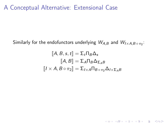Similarly for the endofunctors underlying  $\mathit{W}_{A,B}$  and  $\mathit{W}_{I\times A,B}$  o $_{\pi_{2}}$ :

$$
\begin{aligned} [A, B, s, t] &= \Sigma_t \Pi_B \Delta_s \\ [A, B] &= \Sigma_A \Pi_B \Delta_{\Sigma_A B} \\ [I \times A, B \circ \pi_2] &= \Sigma_{I \times A} \Pi_{B \circ \pi_2} \Delta_{I \times \Sigma_A B} \end{aligned}
$$

K □ ▶ K @ ▶ K 할 ▶ K 할 ▶ | 할 | K 9 Q @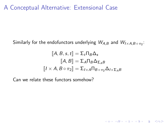Similarly for the endofunctors underlying  $\mathit{W}_{A,B}$  and  $\mathit{W}_{I\times A,B}$  o $_{\pi_{2}}$ :

$$
[\![A, B, s, t]\!] = \Sigma_t \Pi_B \Delta_s
$$

$$
[\![A, B]\!] = \Sigma_A \Pi_B \Delta_{\Sigma_A B}
$$

$$
[\![I \times A, B \circ \pi_2]\!] = \Sigma_{I \times A} \Pi_{B \circ \pi_2} \Delta_{I \times \Sigma_A B}
$$

Can we relate these functors somehow?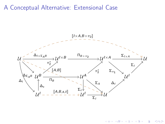

K ロ > ( イ ラ > ( K ミ >

Þ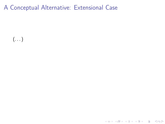$\left(\ldots\right)$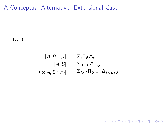$\left(\ldots\right)$ 

$$
\begin{aligned}\n[A, B, s, t] &= \Sigma_t \Pi_B \Delta_s \\
[A, B] &= \Sigma_A \Pi_B \Delta_{\Sigma_A B} \\
[I \times A, B \circ \pi_2] &= \Sigma_{I \times A} \Pi_{B \circ \pi_2} \Delta_{I \times \Sigma_A B}\n\end{aligned}
$$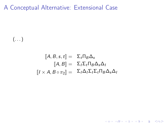$\left(\ldots\right)$ 

$$
\begin{aligned}\n[A, B, s, t] &= \Sigma_t \Pi_B \Delta_s \\
[A, B] &= \Sigma_I \Sigma_t \Pi_B \Delta_s \Delta_I \\
[I \times A, B \circ \pi_2] &= \Sigma_I \Delta_I \Sigma_I \Sigma_t \Pi_B \Delta_s \Delta_I\n\end{aligned}
$$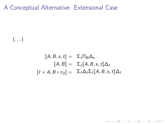$\left(\ldots\right)$ 

$$
\begin{aligned}\n[A, B, s, t] &= \Sigma_t \Pi_B \Delta_s \\
[A, B] &= \Sigma_I [A, B, s, t] \Delta_I \\
[I \times A, B \circ \pi_2] &= \Sigma_I \Delta_I \Sigma_I [A, B, s, t] \Delta_I\n\end{aligned}
$$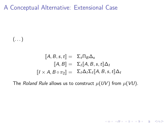$\left(\ldots\right)$ 

$$
\begin{aligned}\n[A, B, s, t] &= \Sigma_t \Pi_B \Delta_s \\
[\![ A, B ]\!] &= \Sigma_I [\![ A, B, s, t ]\!] \Delta_I \\
[\![ I \times A, B \circ \pi_2 ]\!] &= \Sigma_I \Delta_I \Sigma_I [\![ A, B, s, t ]\!] \Delta_I\n\end{aligned}
$$

The Roland Rule allows us to construct  $\mu(UV)$  from  $\mu(VU)$ .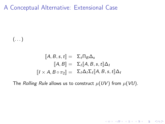$\left(\ldots\right)$ 

$$
\begin{aligned}\n[A, B, s, t] &= \Sigma_t \Pi_B \Delta_s \\
[\![ A, B ]\!] &= \Sigma_I [\![ A, B, s, t ]\!] \Delta_I \\
[\![ I \times A, B \circ \pi_2 ]\!] &= \Sigma_I \Delta_I \Sigma_I [\![ A, B, s, t ]\!] \Delta_I\n\end{aligned}
$$

The Rolling Rule allows us to construct  $\mu(UV)$  from  $\mu(VU)$ .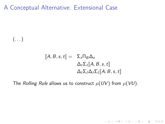$\left(\ldots\right)$ 

$$
\[\![A, B, s, t]\!] = \sum_{t} \prod_{B} \Delta_{s} \n\Delta_{I} \sum_{I} [\![A, B, s, t]\!]
$$
\n
$$
\Delta_{I} \sum_{I} \Delta_{I} \sum_{I} [\![A, B, s, t]\!]
$$

The Rolling Rule allows us to construct  $\mu(UV)$  from  $\mu(VU)$ .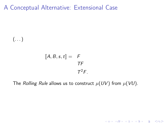$\left(\ldots\right)$ 

$$
\llbracket A, B, s, t \rrbracket = F
$$
  

$$
\mathcal{T}F
$$
  

$$
\mathcal{T}^2 F.
$$

The Rolling Rule allows us to construct  $\mu(UV)$  from  $\mu(VU)$ .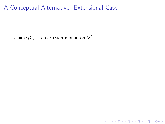K ロ ▶ K 레 ▶ K 레 ▶ K 레 ≯ K 게 회 게 이 및 사 이 의 O

 $T = \Delta_I \Sigma_I$  is a cartesian monad on  $\mathcal{U}^I$ !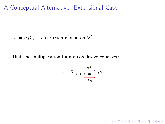$T = \Delta_I \Sigma_I$  is a cartesian monad on  $\mathcal{U}^I$ !

Unit and multiplication form a coreflexive equalizer:

$$
1 \xrightarrow{\eta} T \xrightarrow{\eta T \atop \frac{\longleftarrow}{T\eta}} T^2
$$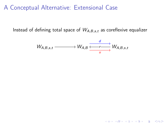Instead of defining total space of  $W_{A,B,s,t}$  as coreflexive equalizer

$$
W_{A,B,s,t} \xrightarrow{\qquad \qquad} W_{A,B} \xrightarrow{\qquad \qquad d \qquad} W_{A,B,s,t}
$$

K □ ▶ K @ ▶ K 할 ▶ K 할 ▶ | 할 | K 9 Q @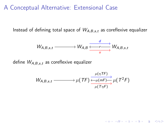Instead of defining total space of  $W_{A,B,s,t}$  as coreflexive equalizer

$$
W_{A,B,s,t} \xrightarrow{\qquad \qquad} W_{A,B} \xrightarrow{\qquad \qquad d \qquad} W_{A,B,s,t}
$$

define  $W_{A,B,s,t}$  as coreflexive equalizer

$$
W_{A,B,s,t} \longrightarrow \mu(TF) \xrightarrow[\mu(T\eta F)]{\mu(\eta F)} \mu(T^2F)
$$

KID KA KERKER E VOOR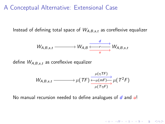Instead of defining total space of  $W_{A,B,s,t}$  as coreflexive equalizer

$$
W_{A,B,s,t} \xrightarrow{\qquad \qquad} W_{A,B} \xrightarrow{\qquad \qquad d \qquad} W_{A,B,s,t}
$$

define  $W_{A,B,s,t}$  as coreflexive equalizer

$$
W_{A,B,s,t} \longrightarrow \mu(TF) \xrightarrow[\mu(T\eta) \to \mu(T\eta) \to \mu(T^2F)]{\mu(T\eta)} \mu(T^2F)
$$

KID KA KERKER E VOOR

No manual recursion needed to define analogues of  $d$  and  $u!$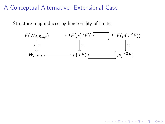Structure map induced by functoriality of limits:

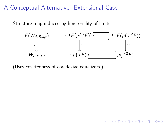Structure map induced by functoriality of limits:



 $2Q$ 

(Uses cosiftedness of coreflexive equalizers.)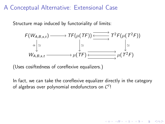Structure map induced by functoriality of limits:



(Uses cosiftedness of coreflexive equalizers.)

In fact, we can take the coreflexive equalizer directly in the category of algebras over polynomial endofunctors on  $\mathcal{C}^I$ !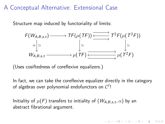Structure map induced by functoriality of limits:



(Uses cosiftedness of coreflexive equalizers.)

In fact, we can take the coreflexive equalizer directly in the category of algebras over polynomial endofunctors on  $\mathcal{C}^I$ !

**KORKA REPARATION ADD** 

Initiality of  $\mu(\mathcal{F})$  transfers to initiality of  $(\mathcal{W}_{\mathcal{A},\mathcal{B},\mathsf{s},\mathsf{t}},\alpha)$  by an abstract fibrational argument.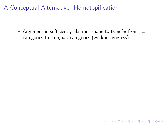$\triangleright$  Argument in sufficiently abstract shape to transfer from lcc categories to lcc quasi-categories (work in progress).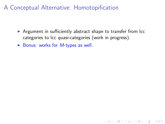$\triangleright$  Argument in sufficiently abstract shape to transfer from  $\text{lcc}$ categories to lcc quasi-categories (work in progress).

K ロ ▶ K @ ▶ K 할 > K 할 > 1 할 > 1 ⊙ Q Q ^

 $\triangleright$  Bonus: works for *M*-types as well.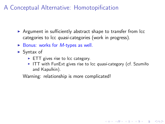- $\triangleright$  Argument in sufficiently abstract shape to transfer from lcc categories to lcc quasi-categories (work in progress).
- $\triangleright$  Bonus: works for *M*-types as well.
- $\blacktriangleright$  Syntax of
	- $\triangleright$  ETT gives rise to lcc category.
	- $\triangleright$  ITT with FunExt gives rise to lcc *quasi*-category (cf. Szumiło and Kapulkin).

**KORKA REPARATION ADD** 

Warning: relationship is more complicated!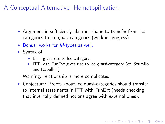- $\triangleright$  Argument in sufficiently abstract shape to transfer from lcc categories to lcc quasi-categories (work in progress).
- $\triangleright$  Bonus: works for *M*-types as well.
- $\blacktriangleright$  Syntax of
	- $\triangleright$  ETT gives rise to lcc category.
	- $\triangleright$  ITT with FunExt gives rise to lcc *quasi*-category (cf. Szumiło and Kapulkin).

4 D X 4 P X 3 X 4 B X 3 B X 9 Q O

Warning: relationship is more complicated!

 $\triangleright$  Conjecture: Proofs about lcc quasi-categories should transfer to internal statements in ITT with FunExt (needs checking that internally defined notions agree with external ones).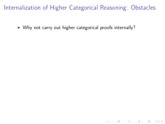$\triangleright$  Why not carry out higher categorical proofs internally?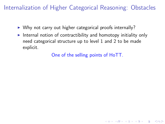- $\triangleright$  Why not carry out higher categorical proofs internally?
- $\blacktriangleright$  Internal notion of contractibility and homotopy initiality only need categorical structure up to level 1 and 2 to be made explicit.

One of the selling points of HoTT.

4 D X 4 P X 3 X 4 B X 3 B X 9 Q O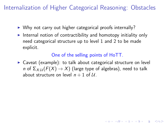- $\triangleright$  Why not carry out higher categorical proofs internally?
- Internal notion of contractibility and homotopy initiality only need categorical structure up to level 1 and 2 to be made explicit.

#### One of the selling points of HoTT.

**KORKAR KERKER EL VOLO** 

 $\triangleright$  Caveat (example): to talk about categorical structure on level n of  $\Sigma_{X:\mathcal{U}}(F(X) \to X)$  (large type of algebras), need to talk about structure on level  $n + 1$  of U.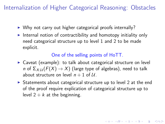- $\triangleright$  Why not carry out higher categorical proofs internally?
- Internal notion of contractibility and homotopy initiality only need categorical structure up to level 1 and 2 to be made explicit.

#### One of the selling points of HoTT.

- $\triangleright$  Caveat (example): to talk about categorical structure on level n of  $\Sigma_{X:\mathcal{U}}(F(X) \to X)$  (large type of algebras), need to talk about structure on level  $n + 1$  of U.
- $\triangleright$  Statements about categorical structure up to level 2 at the end of the proof require explication of categorical structure up to level  $2 + k$  at the beginning.

**A O A Y A P A P A P A SHOP**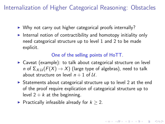- $\triangleright$  Why not carry out higher categorical proofs internally?
- Internal notion of contractibility and homotopy initiality only need categorical structure up to level 1 and 2 to be made explicit.

#### One of the selling points of HoTT.

- $\triangleright$  Caveat (example): to talk about categorical structure on level n of  $\Sigma_{X:\mathcal{U}}(F(X) \to X)$  (large type of algebras), need to talk about structure on level  $n + 1$  of U.
- $\triangleright$  Statements about categorical structure up to level 2 at the end of the proof require explication of categorical structure up to level  $2 + k$  at the beginning.

**KORKAR KERKER EL VOLO** 

► Practically infeasible already for  $k > 2$ .